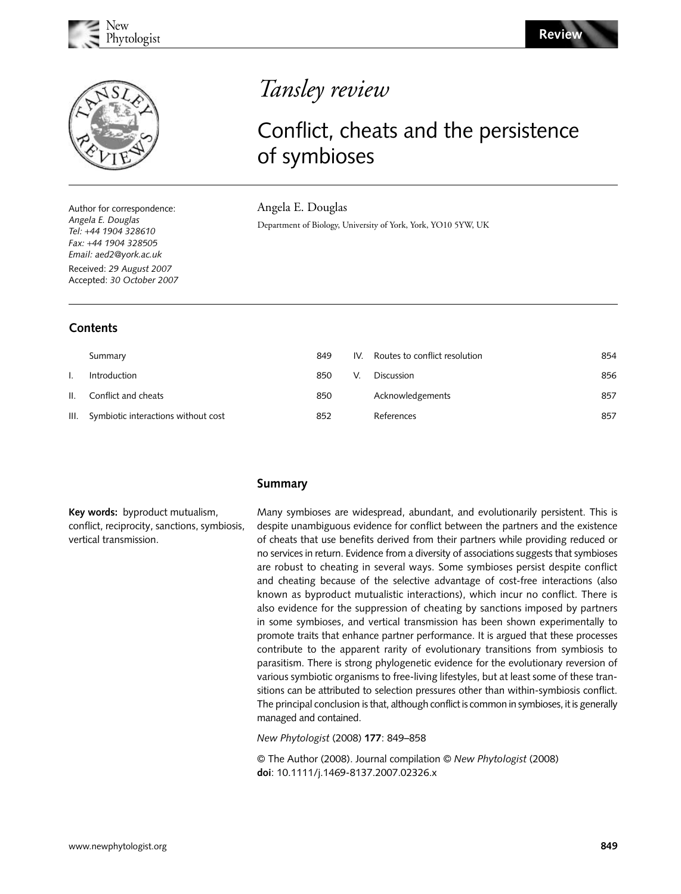



Author for correspondence: *Angela E. Douglas Tel:* +*44 1904 328610 Fax:* +*44 1904 328505 Email: aed2@york.ac.uk* Received: *29 August 2007* Accepted: *30 October 2007*

# **Contents**

# Tansley review

# Conflict, cheats and the persistence of symbioses

Angela E. Douglas

Department of Biology, University of York, York, YO10 5YW, UK

| Summary                                  | 849 | IV. | Routes to conflict resolution | 854 |
|------------------------------------------|-----|-----|-------------------------------|-----|
| Introduction                             | 850 |     | <b>Discussion</b>             | 856 |
| II. Conflict and cheats                  | 850 |     | Acknowledgements              | 857 |
| III. Symbiotic interactions without cost | 852 |     | References                    | 857 |

## **Summary**

**Key words:** byproduct mutualism, conflict, reciprocity, sanctions, symbiosis, vertical transmission.

Many symbioses are widespread, abundant, and evolutionarily persistent. This is despite unambiguous evidence for conflict between the partners and the existence of cheats that use benefits derived from their partners while providing reduced or no services in return. Evidence from a diversity of associations suggests that symbioses are robust to cheating in several ways. Some symbioses persist despite conflict and cheating because of the selective advantage of cost-free interactions (also known as byproduct mutualistic interactions), which incur no conflict. There is also evidence for the suppression of cheating by sanctions imposed by partners in some symbioses, and vertical transmission has been shown experimentally to promote traits that enhance partner performance. It is argued that these processes contribute to the apparent rarity of evolutionary transitions from symbiosis to parasitism. There is strong phylogenetic evidence for the evolutionary reversion of various symbiotic organisms to free-living lifestyles, but at least some of these transitions can be attributed to selection pressures other than within-symbiosis conflict. The principal conclusion is that, although conflict is common in symbioses, it is generally managed and contained.

#### *New Phytologist* (2008) **177**: 849–858

© The Author (2008). Journal compilation © *New Phytologist* (2008) **doi**: 10.1111/j.1469-8137.2007.02326.x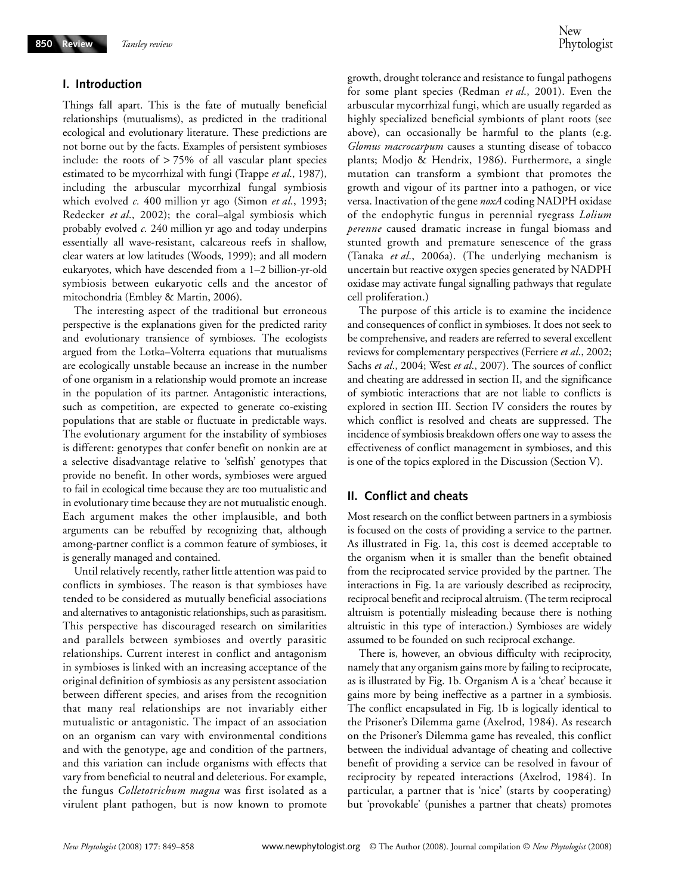#### **I. Introduction**

Things fall apart. This is the fate of mutually beneficial relationships (mutualisms), as predicted in the traditional ecological and evolutionary literature. These predictions are not borne out by the facts. Examples of persistent symbioses include: the roots of  $> 75\%$  of all vascular plant species estimated to be mycorrhizal with fungi (Trappe *et al*., 1987), including the arbuscular mycorrhizal fungal symbiosis which evolved *c.* 400 million yr ago (Simon *et al*., 1993; Redecker *et al*., 2002); the coral–algal symbiosis which probably evolved *c.* 240 million yr ago and today underpins essentially all wave-resistant, calcareous reefs in shallow, clear waters at low latitudes (Woods, 1999); and all modern eukaryotes, which have descended from a 1–2 billion-yr-old symbiosis between eukaryotic cells and the ancestor of mitochondria (Embley & Martin, 2006).

The interesting aspect of the traditional but erroneous perspective is the explanations given for the predicted rarity and evolutionary transience of symbioses. The ecologists argued from the Lotka–Volterra equations that mutualisms are ecologically unstable because an increase in the number of one organism in a relationship would promote an increase in the population of its partner. Antagonistic interactions, such as competition, are expected to generate co-existing populations that are stable or fluctuate in predictable ways. The evolutionary argument for the instability of symbioses is different: genotypes that confer benefit on nonkin are at a selective disadvantage relative to 'selfish' genotypes that provide no benefit. In other words, symbioses were argued to fail in ecological time because they are too mutualistic and in evolutionary time because they are not mutualistic enough. Each argument makes the other implausible, and both arguments can be rebuffed by recognizing that, although among-partner conflict is a common feature of symbioses, it is generally managed and contained.

Until relatively recently, rather little attention was paid to conflicts in symbioses. The reason is that symbioses have tended to be considered as mutually beneficial associations and alternatives to antagonistic relationships, such as parasitism. This perspective has discouraged research on similarities and parallels between symbioses and overtly parasitic relationships. Current interest in conflict and antagonism in symbioses is linked with an increasing acceptance of the original definition of symbiosis as any persistent association between different species, and arises from the recognition that many real relationships are not invariably either mutualistic or antagonistic. The impact of an association on an organism can vary with environmental conditions and with the genotype, age and condition of the partners, and this variation can include organisms with effects that vary from beneficial to neutral and deleterious. For example, the fungus *Colletotrichum magna* was first isolated as a virulent plant pathogen, but is now known to promote

growth, drought tolerance and resistance to fungal pathogens for some plant species (Redman *et al*., 2001). Even the arbuscular mycorrhizal fungi, which are usually regarded as highly specialized beneficial symbionts of plant roots (see above), can occasionally be harmful to the plants (e.g. *Glomus macrocarpum* causes a stunting disease of tobacco plants; Modjo & Hendrix, 1986). Furthermore, a single mutation can transform a symbiont that promotes the growth and vigour of its partner into a pathogen, or vice versa. Inactivation of the gene *noxA* coding NADPH oxidase of the endophytic fungus in perennial ryegrass *Lolium perenne* caused dramatic increase in fungal biomass and stunted growth and premature senescence of the grass (Tanaka *et al*., 2006a). (The underlying mechanism is uncertain but reactive oxygen species generated by NADPH oxidase may activate fungal signalling pathways that regulate cell proliferation.)

The purpose of this article is to examine the incidence and consequences of conflict in symbioses. It does not seek to be comprehensive, and readers are referred to several excellent reviews for complementary perspectives (Ferriere *et al*., 2002; Sachs *et al*., 2004; West *et al*., 2007). The sources of conflict and cheating are addressed in section II, and the significance of symbiotic interactions that are not liable to conflicts is explored in section III. Section IV considers the routes by which conflict is resolved and cheats are suppressed. The incidence of symbiosis breakdown offers one way to assess the effectiveness of conflict management in symbioses, and this is one of the topics explored in the Discussion (Section V).

### **II. Conflict and cheats**

Most research on the conflict between partners in a symbiosis is focused on the costs of providing a service to the partner. As illustrated in Fig. 1a, this cost is deemed acceptable to the organism when it is smaller than the benefit obtained from the reciprocated service provided by the partner. The interactions in Fig. 1a are variously described as reciprocity, reciprocal benefit and reciprocal altruism. (The term reciprocal altruism is potentially misleading because there is nothing altruistic in this type of interaction.) Symbioses are widely assumed to be founded on such reciprocal exchange.

There is, however, an obvious difficulty with reciprocity, namely that any organism gains more by failing to reciprocate, as is illustrated by Fig. 1b. Organism A is a 'cheat' because it gains more by being ineffective as a partner in a symbiosis. The conflict encapsulated in Fig. 1b is logically identical to the Prisoner's Dilemma game (Axelrod, 1984). As research on the Prisoner's Dilemma game has revealed, this conflict between the individual advantage of cheating and collective benefit of providing a service can be resolved in favour of reciprocity by repeated interactions (Axelrod, 1984). In particular, a partner that is 'nice' (starts by cooperating) but 'provokable' (punishes a partner that cheats) promotes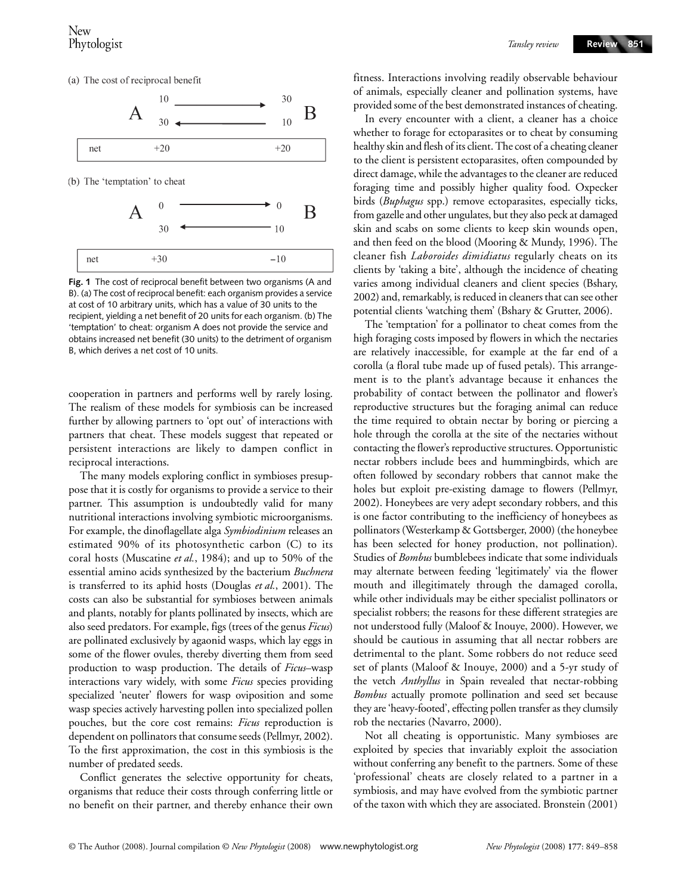(a) The cost of reciprocal benefit



**Fig. 1** The cost of reciprocal benefit between two organisms (A and B). (a) The cost of reciprocal benefit: each organism provides a service at cost of 10 arbitrary units, which has a value of 30 units to the recipient, yielding a net benefit of 20 units for each organism. (b) The 'temptation' to cheat: organism A does not provide the service and obtains increased net benefit (30 units) to the detriment of organism B, which derives a net cost of 10 units.

cooperation in partners and performs well by rarely losing. The realism of these models for symbiosis can be increased further by allowing partners to 'opt out' of interactions with partners that cheat. These models suggest that repeated or persistent interactions are likely to dampen conflict in reciprocal interactions.

The many models exploring conflict in symbioses presuppose that it is costly for organisms to provide a service to their partner. This assumption is undoubtedly valid for many nutritional interactions involving symbiotic microorganisms. For example, the dinoflagellate alga *Symbiodinium* releases an estimated 90% of its photosynthetic carbon (C) to its coral hosts (Muscatine *et al.*, 1984); and up to 50% of the essential amino acids synthesized by the bacterium *Buchnera* is transferred to its aphid hosts (Douglas *et al.*, 2001). The costs can also be substantial for symbioses between animals and plants, notably for plants pollinated by insects, which are also seed predators. For example, figs (trees of the genus *Ficus*) are pollinated exclusively by agaonid wasps, which lay eggs in some of the flower ovules, thereby diverting them from seed production to wasp production. The details of *Ficus*–wasp interactions vary widely, with some *Ficus* species providing specialized 'neuter' flowers for wasp oviposition and some wasp species actively harvesting pollen into specialized pollen pouches, but the core cost remains: *Ficus* reproduction is dependent on pollinators that consume seeds (Pellmyr, 2002). To the first approximation, the cost in this symbiosis is the number of predated seeds.

Conflict generates the selective opportunity for cheats, organisms that reduce their costs through conferring little or no benefit on their partner, and thereby enhance their own fitness. Interactions involving readily observable behaviour of animals, especially cleaner and pollination systems, have provided some of the best demonstrated instances of cheating.

In every encounter with a client, a cleaner has a choice whether to forage for ectoparasites or to cheat by consuming healthy skin and flesh of its client. The cost of a cheating cleaner to the client is persistent ectoparasites, often compounded by direct damage, while the advantages to the cleaner are reduced foraging time and possibly higher quality food. Oxpecker birds (*Buphagus* spp.) remove ectoparasites, especially ticks, from gazelle and other ungulates, but they also peck at damaged skin and scabs on some clients to keep skin wounds open, and then feed on the blood (Mooring & Mundy, 1996). The cleaner fish *Laboroides dimidiatus* regularly cheats on its clients by 'taking a bite', although the incidence of cheating varies among individual cleaners and client species (Bshary, 2002) and, remarkably, is reduced in cleaners that can see other potential clients 'watching them' (Bshary & Grutter, 2006).

The 'temptation' for a pollinator to cheat comes from the high foraging costs imposed by flowers in which the nectaries are relatively inaccessible, for example at the far end of a corolla (a floral tube made up of fused petals). This arrangement is to the plant's advantage because it enhances the probability of contact between the pollinator and flower's reproductive structures but the foraging animal can reduce the time required to obtain nectar by boring or piercing a hole through the corolla at the site of the nectaries without contacting the flower's reproductive structures. Opportunistic nectar robbers include bees and hummingbirds, which are often followed by secondary robbers that cannot make the holes but exploit pre-existing damage to flowers (Pellmyr, 2002). Honeybees are very adept secondary robbers, and this is one factor contributing to the inefficiency of honeybees as pollinators (Westerkamp & Gottsberger, 2000) (the honeybee has been selected for honey production, not pollination). Studies of *Bombus* bumblebees indicate that some individuals may alternate between feeding 'legitimately' via the flower mouth and illegitimately through the damaged corolla, while other individuals may be either specialist pollinators or specialist robbers; the reasons for these different strategies are not understood fully (Maloof & Inouye, 2000). However, we should be cautious in assuming that all nectar robbers are detrimental to the plant. Some robbers do not reduce seed set of plants (Maloof & Inouye, 2000) and a 5-yr study of the vetch *Anthyllus* in Spain revealed that nectar-robbing *Bombus* actually promote pollination and seed set because they are 'heavy-footed', effecting pollen transfer as they clumsily rob the nectaries (Navarro, 2000).

Not all cheating is opportunistic. Many symbioses are exploited by species that invariably exploit the association without conferring any benefit to the partners. Some of these 'professional' cheats are closely related to a partner in a symbiosis, and may have evolved from the symbiotic partner of the taxon with which they are associated. Bronstein (2001)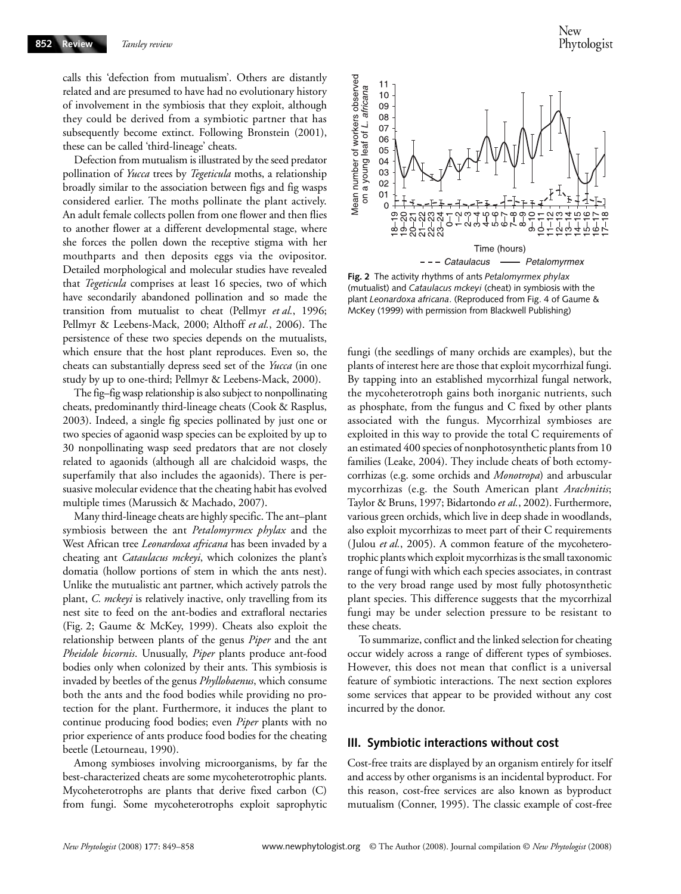calls this 'defection from mutualism'. Others are distantly related and are presumed to have had no evolutionary history of involvement in the symbiosis that they exploit, although they could be derived from a symbiotic partner that has subsequently become extinct. Following Bronstein (2001), these can be called 'third-lineage' cheats.

Defection from mutualism is illustrated by the seed predator pollination of *Yucca* trees by *Tegeticula* moths, a relationship broadly similar to the association between figs and fig wasps considered earlier. The moths pollinate the plant actively. An adult female collects pollen from one flower and then flies to another flower at a different developmental stage, where she forces the pollen down the receptive stigma with her mouthparts and then deposits eggs via the ovipositor. Detailed morphological and molecular studies have revealed that *Tegeticula* comprises at least 16 species, two of which have secondarily abandoned pollination and so made the transition from mutualist to cheat (Pellmyr *et al.*, 1996; Pellmyr & Leebens-Mack, 2000; Althoff *et al.*, 2006). The persistence of these two species depends on the mutualists, which ensure that the host plant reproduces. Even so, the cheats can substantially depress seed set of the *Yucca* (in one study by up to one-third; Pellmyr & Leebens-Mack, 2000).

The fig–fig wasp relationship is also subject to nonpollinating cheats, predominantly third-lineage cheats (Cook & Rasplus, 2003). Indeed, a single fig species pollinated by just one or two species of agaonid wasp species can be exploited by up to 30 nonpollinating wasp seed predators that are not closely related to agaonids (although all are chalcidoid wasps, the superfamily that also includes the agaonids). There is persuasive molecular evidence that the cheating habit has evolved multiple times (Marussich & Machado, 2007).

Many third-lineage cheats are highly specific. The ant–plant symbiosis between the ant *Petalomyrmex phylax* and the West African tree *Leonardoxa africana* has been invaded by a cheating ant *Cataulacus mckeyi*, which colonizes the plant's domatia (hollow portions of stem in which the ants nest). Unlike the mutualistic ant partner, which actively patrols the plant, *C. mckeyi* is relatively inactive, only travelling from its nest site to feed on the ant-bodies and extrafloral nectaries (Fig. 2; Gaume & McKey, 1999). Cheats also exploit the relationship between plants of the genus *Piper* and the ant *Pheidole bicornis*. Unusually, *Piper* plants produce ant-food bodies only when colonized by their ants. This symbiosis is invaded by beetles of the genus *Phyllobaenus*, which consume both the ants and the food bodies while providing no protection for the plant. Furthermore, it induces the plant to continue producing food bodies; even *Piper* plants with no prior experience of ants produce food bodies for the cheating beetle (Letourneau, 1990).

Among symbioses involving microorganisms, by far the best-characterized cheats are some mycoheterotrophic plants. Mycoheterotrophs are plants that derive fixed carbon (C) from fungi. Some mycoheterotrophs exploit saprophytic



**Fig. 2** The activity rhythms of ants *Petalomyrmex phylax*  (mutualist) and *Cataulacus mckeyi* (cheat) in symbiosis with the plant *Leonardoxa africana*. (Reproduced from Fig. 4 of Gaume & McKey (1999) with permission from Blackwell Publishing)

fungi (the seedlings of many orchids are examples), but the plants of interest here are those that exploit mycorrhizal fungi. By tapping into an established mycorrhizal fungal network, the mycoheterotroph gains both inorganic nutrients, such as phosphate, from the fungus and C fixed by other plants associated with the fungus. Mycorrhizal symbioses are exploited in this way to provide the total C requirements of an estimated 400 species of nonphotosynthetic plants from 10 families (Leake, 2004). They include cheats of both ectomycorrhizas (e.g. some orchids and *Monotropa*) and arbuscular mycorrhizas (e.g. the South American plant *Arachnitis*; Taylor & Bruns, 1997; Bidartondo *et al.*, 2002). Furthermore, various green orchids, which live in deep shade in woodlands, also exploit mycorrhizas to meet part of their C requirements (Julou *et al.*, 2005). A common feature of the mycoheterotrophic plants which exploit mycorrhizas is the small taxonomic range of fungi with which each species associates, in contrast to the very broad range used by most fully photosynthetic plant species. This difference suggests that the mycorrhizal fungi may be under selection pressure to be resistant to these cheats.

To summarize, conflict and the linked selection for cheating occur widely across a range of different types of symbioses. However, this does not mean that conflict is a universal feature of symbiotic interactions. The next section explores some services that appear to be provided without any cost incurred by the donor.

#### **III. Symbiotic interactions without cost**

Cost-free traits are displayed by an organism entirely for itself and access by other organisms is an incidental byproduct. For this reason, cost-free services are also known as byproduct mutualism (Conner, 1995). The classic example of cost-free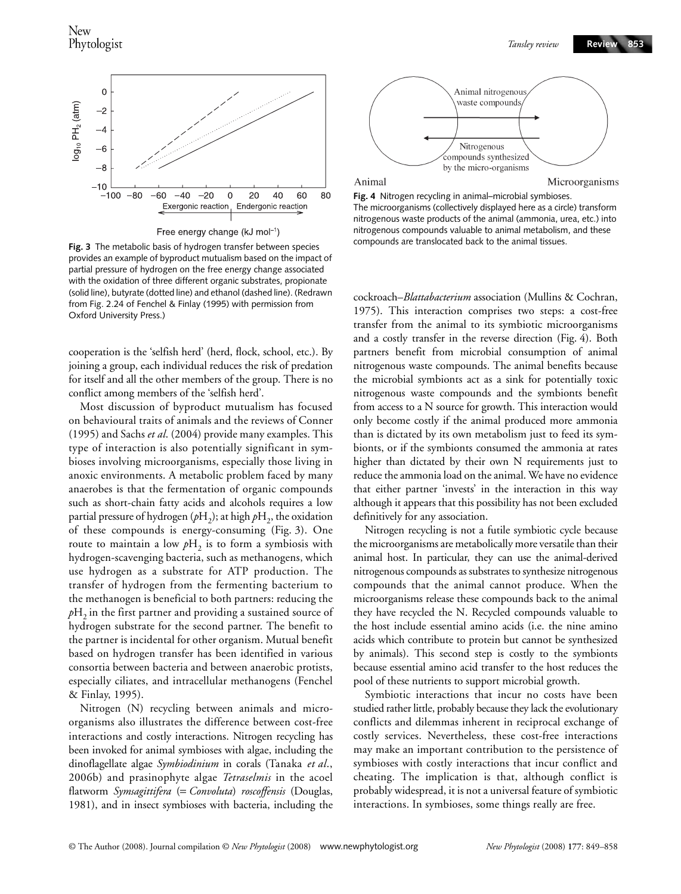

**Fig. 3** The metabolic basis of hydrogen transfer between species provides an example of byproduct mutualism based on the impact of partial pressure of hydrogen on the free energy change associated with the oxidation of three different organic substrates, propionate (solid line), butyrate (dotted line) and ethanol (dashed line). (Redrawn from Fig. 2.24 of Fenchel & Finlay (1995) with permission from Oxford University Press.)

cooperation is the 'selfish herd' (herd, flock, school, etc.). By joining a group, each individual reduces the risk of predation for itself and all the other members of the group. There is no conflict among members of the 'selfish herd'.

Most discussion of byproduct mutualism has focused on behavioural traits of animals and the reviews of Conner (1995) and Sachs *et al*. (2004) provide many examples. This type of interaction is also potentially significant in symbioses involving microorganisms, especially those living in anoxic environments. A metabolic problem faced by many anaerobes is that the fermentation of organic compounds such as short-chain fatty acids and alcohols requires a low partial pressure of hydrogen  $(pH_2)$ ; at high  $pH_2$ , the oxidation of these compounds is energy-consuming (Fig. 3). One route to maintain a low  $pH_2$  is to form a symbiosis with hydrogen-scavenging bacteria, such as methanogens, which use hydrogen as a substrate for ATP production. The transfer of hydrogen from the fermenting bacterium to the methanogen is beneficial to both partners: reducing the  $pH<sub>2</sub>$  in the first partner and providing a sustained source of hydrogen substrate for the second partner. The benefit to the partner is incidental for other organism. Mutual benefit based on hydrogen transfer has been identified in various consortia between bacteria and between anaerobic protists, especially ciliates, and intracellular methanogens (Fenchel & Finlay, 1995).

Nitrogen (N) recycling between animals and microorganisms also illustrates the difference between cost-free interactions and costly interactions. Nitrogen recycling has been invoked for animal symbioses with algae, including the dinoflagellate algae *Symbiodinium* in corals (Tanaka *et al*., 2006b) and prasinophyte algae *Tetraselmis* in the acoel flatworm *Symsagittifera* (= *Convoluta*) *roscoffensis* (Douglas, 1981), and in insect symbioses with bacteria, including the



**Fig. 4** Nitrogen recycling in animal–microbial symbioses. The microorganisms (collectively displayed here as a circle) transform nitrogenous waste products of the animal (ammonia, urea, etc.) into nitrogenous compounds valuable to animal metabolism, and these compounds are translocated back to the animal tissues.

cockroach–*Blattabacterium* association (Mullins & Cochran, 1975). This interaction comprises two steps: a cost-free transfer from the animal to its symbiotic microorganisms and a costly transfer in the reverse direction (Fig. 4). Both partners benefit from microbial consumption of animal nitrogenous waste compounds. The animal benefits because the microbial symbionts act as a sink for potentially toxic nitrogenous waste compounds and the symbionts benefit from access to a N source for growth. This interaction would only become costly if the animal produced more ammonia than is dictated by its own metabolism just to feed its symbionts, or if the symbionts consumed the ammonia at rates higher than dictated by their own N requirements just to reduce the ammonia load on the animal. We have no evidence that either partner 'invests' in the interaction in this way although it appears that this possibility has not been excluded definitively for any association.

Nitrogen recycling is not a futile symbiotic cycle because the microorganisms are metabolically more versatile than their animal host. In particular, they can use the animal-derived nitrogenous compounds as substrates to synthesize nitrogenous compounds that the animal cannot produce. When the microorganisms release these compounds back to the animal they have recycled the N. Recycled compounds valuable to the host include essential amino acids (i.e. the nine amino acids which contribute to protein but cannot be synthesized by animals). This second step is costly to the symbionts because essential amino acid transfer to the host reduces the pool of these nutrients to support microbial growth.

Symbiotic interactions that incur no costs have been studied rather little, probably because they lack the evolutionary conflicts and dilemmas inherent in reciprocal exchange of costly services. Nevertheless, these cost-free interactions may make an important contribution to the persistence of symbioses with costly interactions that incur conflict and cheating. The implication is that, although conflict is probably widespread, it is not a universal feature of symbiotic interactions. In symbioses, some things really are free.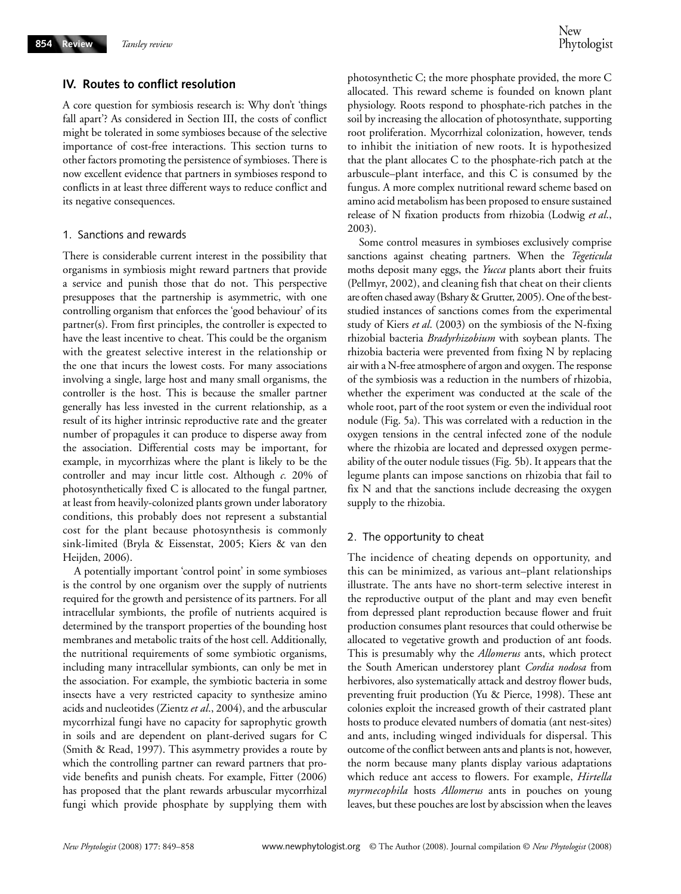### **IV. Routes to conflict resolution**

A core question for symbiosis research is: Why don't 'things fall apart'? As considered in Section III, the costs of conflict might be tolerated in some symbioses because of the selective importance of cost-free interactions. This section turns to other factors promoting the persistence of symbioses. There is now excellent evidence that partners in symbioses respond to conflicts in at least three different ways to reduce conflict and its negative consequences.

#### 1. Sanctions and rewards

There is considerable current interest in the possibility that organisms in symbiosis might reward partners that provide a service and punish those that do not. This perspective presupposes that the partnership is asymmetric, with one controlling organism that enforces the 'good behaviour' of its partner(s). From first principles, the controller is expected to have the least incentive to cheat. This could be the organism with the greatest selective interest in the relationship or the one that incurs the lowest costs. For many associations involving a single, large host and many small organisms, the controller is the host. This is because the smaller partner generally has less invested in the current relationship, as a result of its higher intrinsic reproductive rate and the greater number of propagules it can produce to disperse away from the association. Differential costs may be important, for example, in mycorrhizas where the plant is likely to be the controller and may incur little cost. Although *c.* 20% of photosynthetically fixed C is allocated to the fungal partner, at least from heavily-colonized plants grown under laboratory conditions, this probably does not represent a substantial cost for the plant because photosynthesis is commonly sink-limited (Bryla & Eissenstat, 2005; Kiers & van den Heijden, 2006).

A potentially important 'control point' in some symbioses is the control by one organism over the supply of nutrients required for the growth and persistence of its partners. For all intracellular symbionts, the profile of nutrients acquired is determined by the transport properties of the bounding host membranes and metabolic traits of the host cell. Additionally, the nutritional requirements of some symbiotic organisms, including many intracellular symbionts, can only be met in the association. For example, the symbiotic bacteria in some insects have a very restricted capacity to synthesize amino acids and nucleotides (Zientz *et al*., 2004), and the arbuscular mycorrhizal fungi have no capacity for saprophytic growth in soils and are dependent on plant-derived sugars for C (Smith & Read, 1997). This asymmetry provides a route by which the controlling partner can reward partners that provide benefits and punish cheats. For example, Fitter (2006) has proposed that the plant rewards arbuscular mycorrhizal fungi which provide phosphate by supplying them with

photosynthetic C; the more phosphate provided, the more C allocated. This reward scheme is founded on known plant physiology. Roots respond to phosphate-rich patches in the soil by increasing the allocation of photosynthate, supporting root proliferation. Mycorrhizal colonization, however, tends to inhibit the initiation of new roots. It is hypothesized that the plant allocates C to the phosphate-rich patch at the arbuscule–plant interface, and this C is consumed by the fungus. A more complex nutritional reward scheme based on amino acid metabolism has been proposed to ensure sustained release of N fixation products from rhizobia (Lodwig *et al*., 2003).

Some control measures in symbioses exclusively comprise sanctions against cheating partners. When the *Tegeticula* moths deposit many eggs, the *Yucca* plants abort their fruits (Pellmyr, 2002), and cleaning fish that cheat on their clients are often chased away (Bshary & Grutter, 2005). One of the beststudied instances of sanctions comes from the experimental study of Kiers *et al*. (2003) on the symbiosis of the N-fixing rhizobial bacteria *Bradyrhizobium* with soybean plants. The rhizobia bacteria were prevented from fixing N by replacing air with a N-free atmosphere of argon and oxygen. The response of the symbiosis was a reduction in the numbers of rhizobia, whether the experiment was conducted at the scale of the whole root, part of the root system or even the individual root nodule (Fig. 5a). This was correlated with a reduction in the oxygen tensions in the central infected zone of the nodule where the rhizobia are located and depressed oxygen permeability of the outer nodule tissues (Fig. 5b). It appears that the legume plants can impose sanctions on rhizobia that fail to fix N and that the sanctions include decreasing the oxygen supply to the rhizobia.

### 2. The opportunity to cheat

The incidence of cheating depends on opportunity, and this can be minimized, as various ant–plant relationships illustrate. The ants have no short-term selective interest in the reproductive output of the plant and may even benefit from depressed plant reproduction because flower and fruit production consumes plant resources that could otherwise be allocated to vegetative growth and production of ant foods. This is presumably why the *Allomerus* ants, which protect the South American understorey plant *Cordia nodosa* from herbivores, also systematically attack and destroy flower buds, preventing fruit production (Yu & Pierce, 1998). These ant colonies exploit the increased growth of their castrated plant hosts to produce elevated numbers of domatia (ant nest-sites) and ants, including winged individuals for dispersal. This outcome of the conflict between ants and plants is not, however, the norm because many plants display various adaptations which reduce ant access to flowers. For example, *Hirtella myrmecophila* hosts *Allomerus* ants in pouches on young leaves, but these pouches are lost by abscission when the leaves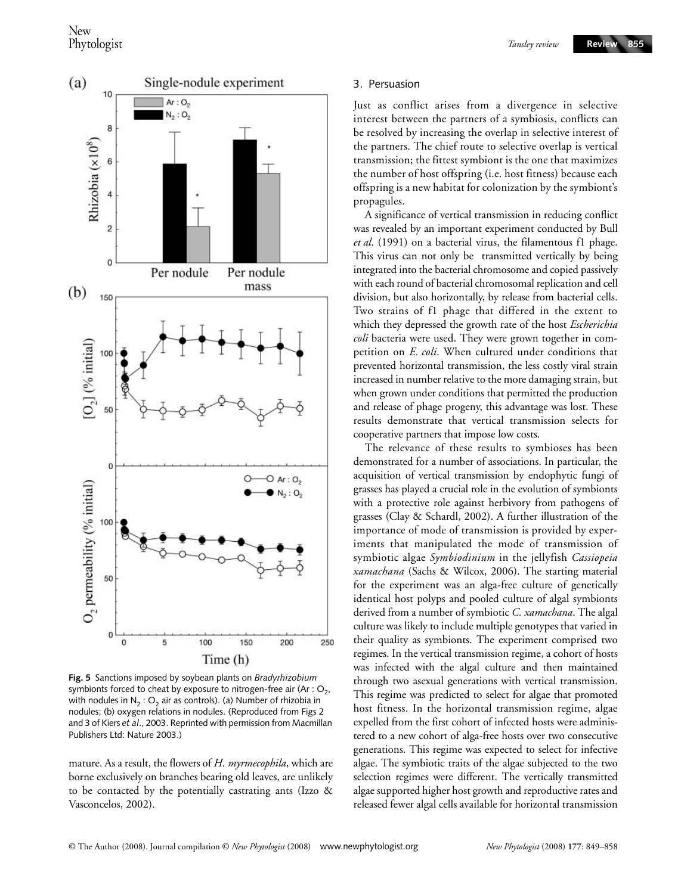

**Fig. 5** Sanctions imposed by soybean plants on *Bradyrhizobium*  symbionts forced to cheat by exposure to nitrogen-free air (Ar :  $O_2$ , with nodules in  $N_2$ : O<sub>2</sub> air as controls). (a) Number of rhizobia in nodules; (b) oxygen relations in nodules. (Reproduced from Figs 2 and 3 of Kiers *et al*., 2003. Reprinted with permission from Macmillan Publishers Ltd: Nature 2003.)

mature. As a result, the flowers of *H. myrmecophila*, which are borne exclusively on branches bearing old leaves, are unlikely to be contacted by the potentially castrating ants (Izzo & Vasconcelos, 2002).

#### 3. Persuasion

Just as conflict arises from a divergence in selective interest between the partners of a symbiosis, conflicts can be resolved by increasing the overlap in selective interest of the partners. The chief route to selective overlap is vertical transmission; the fittest symbiont is the one that maximizes the number of host offspring (i.e. host fitness) because each offspring is a new habitat for colonization by the symbiont's propagules.

A significance of vertical transmission in reducing conflict was revealed by an important experiment conducted by Bull *et al*. (1991) on a bacterial virus, the filamentous f1 phage. This virus can not only be transmitted vertically by being integrated into the bacterial chromosome and copied passively with each round of bacterial chromosomal replication and cell division, but also horizontally, by release from bacterial cells. Two strains of f1 phage that differed in the extent to which they depressed the growth rate of the host *Escherichia coli* bacteria were used. They were grown together in competition on *E. coli*. When cultured under conditions that prevented horizontal transmission, the less costly viral strain increased in number relative to the more damaging strain, but when grown under conditions that permitted the production and release of phage progeny, this advantage was lost. These results demonstrate that vertical transmission selects for cooperative partners that impose low costs.

The relevance of these results to symbioses has been demonstrated for a number of associations. In particular, the acquisition of vertical transmission by endophytic fungi of grasses has played a crucial role in the evolution of symbionts with a protective role against herbivory from pathogens of grasses (Clay & Schardl, 2002). A further illustration of the importance of mode of transmission is provided by experiments that manipulated the mode of transmission of symbiotic algae *Symbiodinium* in the jellyfish *Cassiopeia xamachana* (Sachs & Wilcox, 2006). The starting material for the experiment was an alga-free culture of genetically identical host polyps and pooled culture of algal symbionts derived from a number of symbiotic *C. xamachana*. The algal culture was likely to include multiple genotypes that varied in their quality as symbionts. The experiment comprised two regimes. In the vertical transmission regime, a cohort of hosts was infected with the algal culture and then maintained through two asexual generations with vertical transmission. This regime was predicted to select for algae that promoted host fitness. In the horizontal transmission regime, algae expelled from the first cohort of infected hosts were administered to a new cohort of alga-free hosts over two consecutive generations. This regime was expected to select for infective algae. The symbiotic traits of the algae subjected to the two selection regimes were different. The vertically transmitted algae supported higher host growth and reproductive rates and released fewer algal cells available for horizontal transmission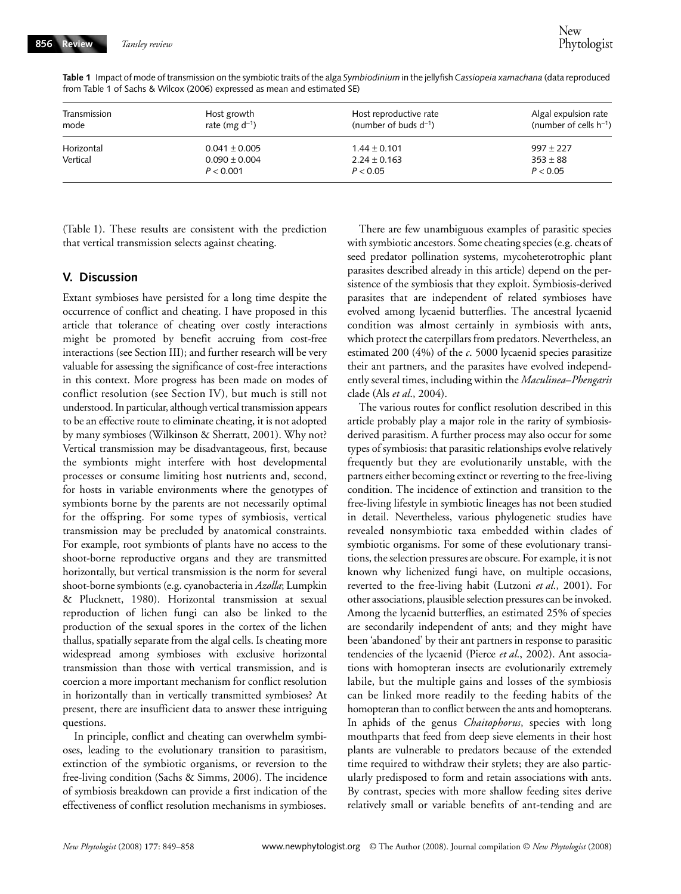| Transmission<br>mode | Host growth<br>rate (mg $d^{-1}$ ) | Host reproductive rate<br>(number of buds $d^{-1}$ ) | Algal expulsion rate<br>(number of cells $h^{-1}$ )<br>$997 + 227$ |  |
|----------------------|------------------------------------|------------------------------------------------------|--------------------------------------------------------------------|--|
| Horizontal           | $0.041 \pm 0.005$                  | $1.44 \pm 0.101$                                     |                                                                    |  |
| Vertical             | $0.090 \pm 0.004$                  | $2.24 \pm 0.163$                                     | $353 \pm 88$                                                       |  |
|                      | P < 0.001                          | P < 0.05                                             | P < 0.05                                                           |  |

**Table 1** Impact of mode of transmission on the symbiotic traits of the alga *Symbiodinium* in the jellyfish *Cassiopeia xamachana* (data reproduced from Table 1 of Sachs & Wilcox (2006) expressed as mean and estimated SE)

(Table 1). These results are consistent with the prediction that vertical transmission selects against cheating.

#### **V. Discussion**

Extant symbioses have persisted for a long time despite the occurrence of conflict and cheating. I have proposed in this article that tolerance of cheating over costly interactions might be promoted by benefit accruing from cost-free interactions (see Section III); and further research will be very valuable for assessing the significance of cost-free interactions in this context. More progress has been made on modes of conflict resolution (see Section IV), but much is still not understood. In particular, although vertical transmission appears to be an effective route to eliminate cheating, it is not adopted by many symbioses (Wilkinson & Sherratt, 2001). Why not? Vertical transmission may be disadvantageous, first, because the symbionts might interfere with host developmental processes or consume limiting host nutrients and, second, for hosts in variable environments where the genotypes of symbionts borne by the parents are not necessarily optimal for the offspring. For some types of symbiosis, vertical transmission may be precluded by anatomical constraints. For example, root symbionts of plants have no access to the shoot-borne reproductive organs and they are transmitted horizontally, but vertical transmission is the norm for several shoot-borne symbionts (e.g. cyanobacteria in *Azolla*; Lumpkin & Plucknett, 1980). Horizontal transmission at sexual reproduction of lichen fungi can also be linked to the production of the sexual spores in the cortex of the lichen thallus, spatially separate from the algal cells. Is cheating more widespread among symbioses with exclusive horizontal transmission than those with vertical transmission, and is coercion a more important mechanism for conflict resolution in horizontally than in vertically transmitted symbioses? At present, there are insufficient data to answer these intriguing questions.

In principle, conflict and cheating can overwhelm symbioses, leading to the evolutionary transition to parasitism, extinction of the symbiotic organisms, or reversion to the free-living condition (Sachs & Simms, 2006). The incidence of symbiosis breakdown can provide a first indication of the effectiveness of conflict resolution mechanisms in symbioses.

There are few unambiguous examples of parasitic species with symbiotic ancestors. Some cheating species (e.g. cheats of seed predator pollination systems, mycoheterotrophic plant parasites described already in this article) depend on the persistence of the symbiosis that they exploit. Symbiosis-derived parasites that are independent of related symbioses have evolved among lycaenid butterflies. The ancestral lycaenid condition was almost certainly in symbiosis with ants, which protect the caterpillars from predators. Nevertheless, an estimated 200 (4%) of the *c*. 5000 lycaenid species parasitize their ant partners, and the parasites have evolved independently several times, including within the *Maculinea*–*Phengaris* clade (Als *et al*., 2004).

The various routes for conflict resolution described in this article probably play a major role in the rarity of symbiosisderived parasitism. A further process may also occur for some types of symbiosis: that parasitic relationships evolve relatively frequently but they are evolutionarily unstable, with the partners either becoming extinct or reverting to the free-living condition. The incidence of extinction and transition to the free-living lifestyle in symbiotic lineages has not been studied in detail. Nevertheless, various phylogenetic studies have revealed nonsymbiotic taxa embedded within clades of symbiotic organisms. For some of these evolutionary transitions, the selection pressures are obscure. For example, it is not known why lichenized fungi have, on multiple occasions, reverted to the free-living habit (Lutzoni *et al*., 2001). For other associations, plausible selection pressures can be invoked. Among the lycaenid butterflies, an estimated 25% of species are secondarily independent of ants; and they might have been 'abandoned' by their ant partners in response to parasitic tendencies of the lycaenid (Pierce *et al*., 2002). Ant associations with homopteran insects are evolutionarily extremely labile, but the multiple gains and losses of the symbiosis can be linked more readily to the feeding habits of the homopteran than to conflict between the ants and homopterans. In aphids of the genus *Chaitophorus*, species with long mouthparts that feed from deep sieve elements in their host plants are vulnerable to predators because of the extended time required to withdraw their stylets; they are also particularly predisposed to form and retain associations with ants. By contrast, species with more shallow feeding sites derive relatively small or variable benefits of ant-tending and are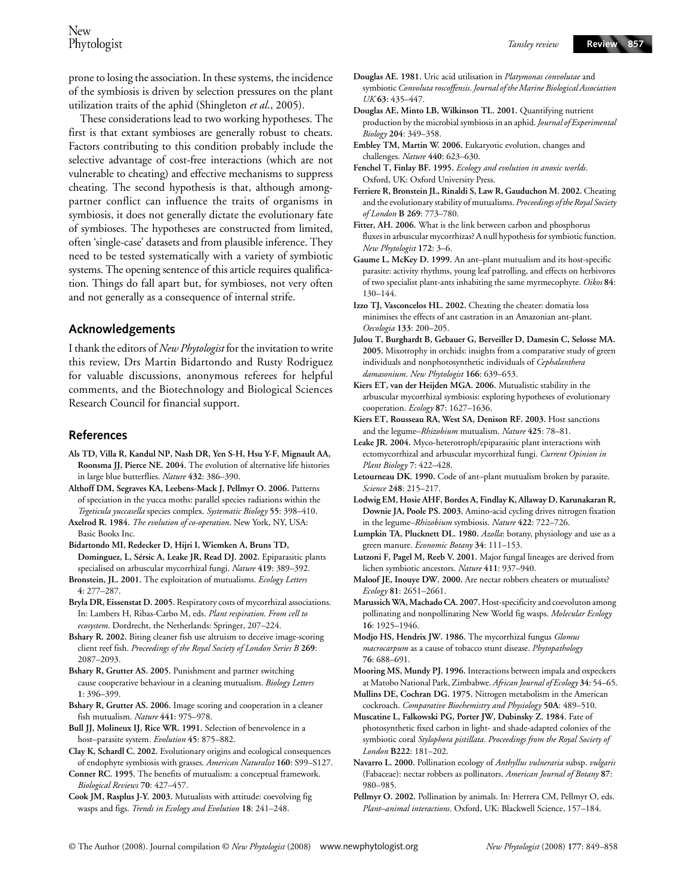prone to losing the association. In these systems, the incidence of the symbiosis is driven by selection pressures on the plant utilization traits of the aphid (Shingleton *et al*., 2005).

These considerations lead to two working hypotheses. The first is that extant symbioses are generally robust to cheats. Factors contributing to this condition probably include the selective advantage of cost-free interactions (which are not vulnerable to cheating) and effective mechanisms to suppress cheating. The second hypothesis is that, although amongpartner conflict can influence the traits of organisms in symbiosis, it does not generally dictate the evolutionary fate of symbioses. The hypotheses are constructed from limited, often 'single-case' datasets and from plausible inference. They need to be tested systematically with a variety of symbiotic systems. The opening sentence of this article requires qualification. Things do fall apart but, for symbioses, not very often and not generally as a consequence of internal strife.

#### **Acknowledgements**

I thank the editors of *New Phytologist* for the invitation to write this review, Drs Martin Bidartondo and Rusty Rodriguez for valuable discussions, anonymous referees for helpful comments, and the Biotechnology and Biological Sciences Research Council for financial support.

#### **References**

- **Als TD, Villa R, Kandul NP, Nash DR, Yen S-H, Hsu Y-F, Mignault AA, Roonsma JJ, Pierce NE. 2004.** The evolution of alternative life histories in large blue butterflies. *Nature* **432**: 386–390.
- **Althoff DM, Segraves KA, Leebens-Mack J, Pellmyr O. 2006.** Patterns of speciation in the yucca moths: parallel species radiations within the *Tegeticula yuccasella* species complex. *Systematic Biology* **55**: 398–410. **Axelrod R. 1984.** *The evolution of co-operation*. New York, NY, USA:
- Basic Books Inc. **Bidartondo MI, Redecker D, Hijri I, Wiemken A, Bruns TD, Dominguez, L, Sérsic A, Leake JR, Read DJ. 2002.** Epiparasitic plants specialised on arbuscular mycorrhizal fungi. *Nature* **419**: 389–392.
- **Bronstein, JL. 2001.** The exploitation of mutualisms. *Ecology Letters* **4**: 277–287.
- **Bryla DR, Eissenstat D. 2005.** Respiratory costs of mycorrhizal associations. In: Lambers H, Ribas-Carbo M, eds. *Plant respiration. From cell to ecosystem*. Dordrecht, the Netherlands: Springer, 207–224.
- **Bshary R. 2002.** Biting cleaner fish use altruism to deceive image-scoring client reef fish. *Proceedings of the Royal Society of London Series B* **269**: 2087–2093.
- **Bshary R, Grutter AS. 2005.** Punishment and partner switching cause cooperative behaviour in a cleaning mutualism. *Biology Letters* **1**: 396–399.
- **Bshary R, Grutter AS. 2006.** Image scoring and cooperation in a cleaner fish mutualism. *Nature* **441**: 975–978.
- **Bull JJ, Molineux IJ, Rice WR. 1991.** Selection of benevolence in a host–parasite system. *Evolution* **45**: 875–882.
- **Clay K, Schardl C. 2002.** Evolutionary origins and ecological consequences of endophyte symbiosis with grasses. *American Naturalist* **160**: S99–S127.
- **Conner RC. 1995.** The benefits of mutualism: a conceptual framework. *Biological Reviews* **70**: 427–457.
- **Cook JM, Rasplus J-Y. 2003.** Mutualists with attitude: coevolving fig wasps and figs. *Trends in Ecology and Evolution* **18**: 241–248.
- **Douglas AE. 1981.** Uric acid utilisation in *Platymonas convolutae* and symbiotic *Convoluta roscoffensis*. *Journal of the Marine Biological Association UK* **63**: 435–447.
- **Douglas AE, Minto LB, Wilkinson TL. 2001.** Quantifying nutrient production by the microbial symbiosis in an aphid. *Journal of Experimental Biology* **204**: 349–358.
- **Embley TM, Martin W. 2006.** Eukaryotic evolution, changes and challenges. *Nature* **440**: 623–630.
- **Fenchel T, Finlay BF. 1995.** *Ecology and evolution in anoxic worlds*. Oxford, UK: Oxford University Press.
- **Ferriere R, Bronstein JL, Rinaldi S, Law R, Gauduchon M. 2002.** Cheating and the evolutionary stability of mutualisms. *Proceedings of the Royal Society of London* **B 269**: 773–780.
- **Fitter, AH. 2006.** What is the link between carbon and phosphorus fluxes in arbuscular mycorrhizas? A null hypothesis for symbiotic function. *New Phytologist* **172**: 3–6.
- **Gaume L, McKey D. 1999.** An ant–plant mutualism and its host-specific parasite: activity rhythms, young leaf patrolling, and effects on herbivores of two specialist plant-ants inhabiting the same myrmecophyte. *Oikos* **84**: 130–144.
- **Izzo TJ, Vasconcelos HL. 2002.** Cheating the cheater: domatia loss minimises the effects of ant castration in an Amazonian ant-plant. *Oecologia* **133**: 200–205.
- **Julou T, Burghardt B, Gebauer G, Berveiller D, Damesin C, Selosse MA. 2005.** Mixotrophy in orchids: insights from a comparative study of green individuals and nonphotosynthetic individuals of *Cephalanthera damasonium*. *New Phytologist* **166**: 639–653.
- **Kiers ET, van der Heijden MGA. 2006.** Mutualistic stability in the arbuscular mycorrhizal symbiosis: exploring hypotheses of evolutionary cooperation. *Ecology* **87**: 1627–1636.
- **Kiers ET, Rousseau RA, West SA, Denison RF. 2003.** Host sanctions and the legume–*Rhizobium* mutualism. *Nature* **425**: 78–81.
- **Leake JR. 2004.** Myco-heterotroph/epiparasitic plant interactions with ectomycorrhizal and arbuscular mycorrhizal fungi. *Current Opinion in Plant Biology* **7**: 422–428.
- **Letourneau DK. 1990.** Code of ant–plant mutualism broken by parasite. *Science* **248**: 215–217.
- **Lodwig EM, Hosie AHF, Bordes A, Findlay K, Allaway D, Karunakaran R, Downie JA, Poole PS. 2003.** Amino-acid cycling drives nitrogen fixation in the legume–*Rhizobium* symbiosis. *Nature* **422**: 722–726.
- **Lumpkin TA, Plucknett DL. 1980.** *Azolla*: botany, physiology and use as a green manure. *Economic Botany* **34**: 111–153.
- **Lutzoni F, Pagel M, Reeb V. 2001.** Major fungal lineages are derived from lichen symbiotic ancestors. *Nature* **411**: 937–940.
- **Maloof JE, Inouye DW. 2000.** Are nectar robbers cheaters or mutualists? *Ecology* **81**: 2651–2661.
- **Marussich WA, Machado CA. 2007.** Host-specificity and coevoluton among pollinating and nonpollinating New World fig wasps. *Molecular Ecology* **16**: 1925–1946.
- **Modjo HS, Hendrix JW. 1986.** The mycorrhizal fungus *Glomus macrocarpum* as a cause of tobacco stunt disease. *Phytopathology* **76**: 688–691.
- **Mooring MS, Mundy PJ. 1996.** Interactions between impala and oxpeckers at Matobo National Park, Zimbabwe. *African Journal of Ecology* **34**: 54–65.
- **Mullins DE, Cochran DG. 1975.** Nitrogen metabolism in the American cockroach. *Comparative Biochemistry and Physiology* **50A**: 489–510.
- **Muscatine L, Falkowski PG, Porter JW, Dubinsky Z. 1984.** Fate of photosynthetic fixed carbon in light- and shade-adapted colonies of the symbiotic coral *Stylophora pistillata*. *Proceedings from the Royal Society of London* **B222**: 181–202.
- **Navarro L. 2000.** Pollination ecology of *Anthyllus vulneraria* subsp. *vulgaris*  (Fabaceae): nectar robbers as pollinators. *American Journal of Botany* **87**: 980–985.
- **Pellmyr O. 2002.** Pollination by animals. In: Herrera CM, Pellmyr O, eds. *Plant–animal interactions*. Oxford, UK: Blackwell Science, 157–184.